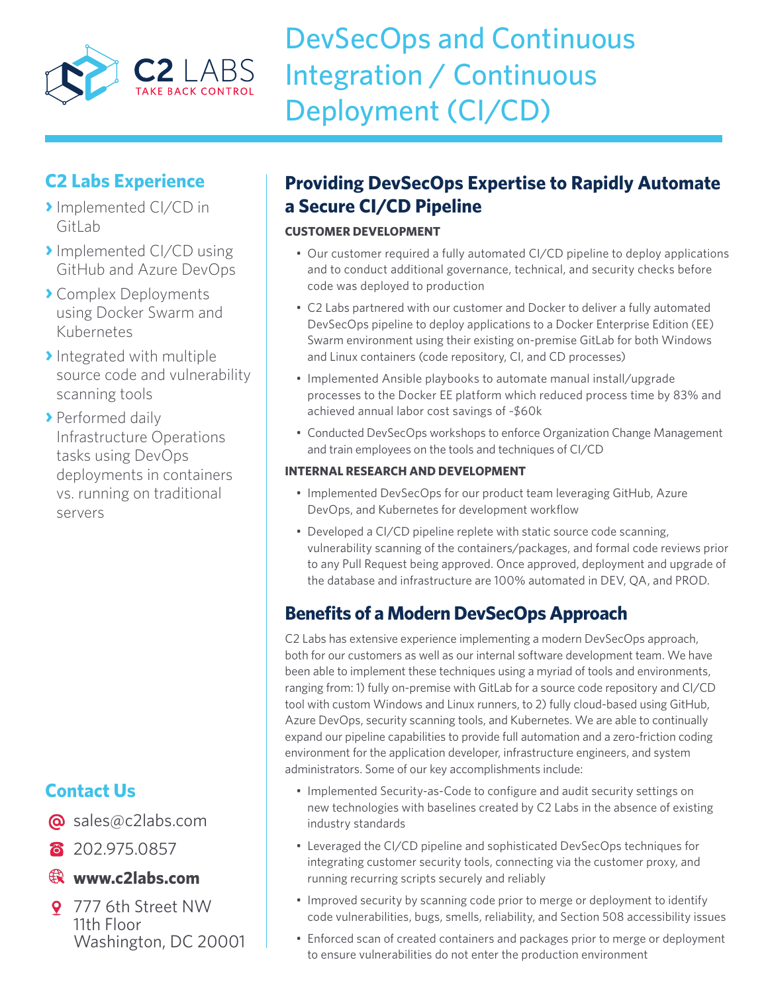

# DevSecOps and Continuous Integration / Continuous Deployment (CI/CD)

### **C2 Labs Experience**

- **›**Implemented CI/CD in GitLab
- **›**Implemented CI/CD using GitHub and Azure DevOps
- **›** Complex Deployments using Docker Swarm and Kubernetes
- **›**Integrated with multiple source code and vulnerability scanning tools
- **›** Performed daily Infrastructure Operations tasks using DevOps deployments in containers vs. running on traditional servers

## **Contact Us**

- @ sales@c2labs.com
- 8 202.975.0857

### **www.c2labs.com**

9 777 6th Street NW 11th Floor Washington, DC 20001

## **Providing DevSecOps Expertise to Rapidly Automate a Secure CI/CD Pipeline**

#### **CUSTOMER DEVELOPMENT**

- Our customer required a fully automated CI/CD pipeline to deploy applications and to conduct additional governance, technical, and security checks before code was deployed to production
- • C2 Labs partnered with our customer and Docker to deliver a fully automated DevSecOps pipeline to deploy applications to a Docker Enterprise Edition (EE) Swarm environment using their existing on-premise GitLab for both Windows and Linux containers (code repository, CI, and CD processes)
- Implemented Ansible playbooks to automate manual install/upgrade processes to the Docker EE platform which reduced process time by 83% and achieved annual labor cost savings of ~\$60k
- Conducted DevSecOps workshops to enforce Organization Change Management and train employees on the tools and techniques of CI/CD

#### **INTERNAL RESEARCH AND DEVELOPMENT**

- Implemented DevSecOps for our product team leveraging GitHub, Azure DevOps, and Kubernetes for development workflow
- Developed a CI/CD pipeline replete with static source code scanning, vulnerability scanning of the containers/packages, and formal code reviews prior to any Pull Request being approved. Once approved, deployment and upgrade of the database and infrastructure are 100% automated in DEV, QA, and PROD.

## **Benefits of a Modern DevSecOps Approach**

C2 Labs has extensive experience implementing a modern DevSecOps approach, both for our customers as well as our internal software development team. We have been able to implement these techniques using a myriad of tools and environments, ranging from: 1) fully on-premise with GitLab for a source code repository and CI/CD tool with custom Windows and Linux runners, to 2) fully cloud-based using GitHub, Azure DevOps, security scanning tools, and Kubernetes. We are able to continually expand our pipeline capabilities to provide full automation and a zero-friction coding environment for the application developer, infrastructure engineers, and system administrators. Some of our key accomplishments include:

- Implemented Security-as-Code to configure and audit security settings on new technologies with baselines created by C2 Labs in the absence of existing industry standards
- Leveraged the CI/CD pipeline and sophisticated DevSecOps techniques for integrating customer security tools, connecting via the customer proxy, and running recurring scripts securely and reliably
- Improved security by scanning code prior to merge or deployment to identify code vulnerabilities, bugs, smells, reliability, and Section 508 accessibility issues
- Enforced scan of created containers and packages prior to merge or deployment to ensure vulnerabilities do not enter the production environment